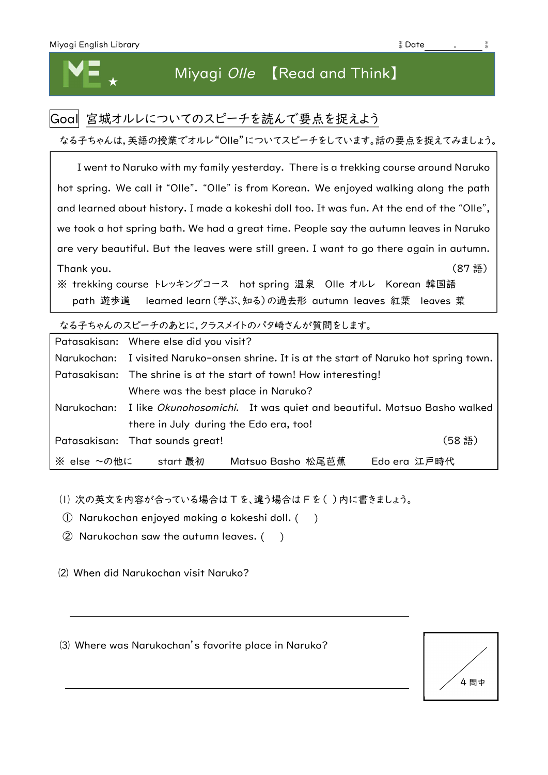## Miyagi Olle 【Read and Think】

## Goal 宮城オルレについてのスピーチを読んで要点を捉えよう

なる子ちゃんは,英語の授業でオルレ"Olle"についてスピーチをしています。話の要点を捉えてみましょう。

I went to Naruko with my family yesterday. There is a trekking course around Naruko hot spring. We call it "Olle". "Olle" is from Korean. We enjoyed walking along the path and learned about history. I made a kokeshi doll too. It was fun. At the end of the "Olle", we took a hot spring bath. We had a great time. People say the autumn leaves in Naruko are very beautiful. But the leaves were still green. I want to go there again in autumn. Thank you. (87 語) ※ trekking course トレッキングコース hot spring 温泉 Olle オルレ Korean 韓国語 path 遊歩道 learned learn(学ぶ、知る)の過去形 autumn leaves 紅葉 leaves 葉

なる子ちゃんのスピーチのあとに,クラスメイトのパタ崎さんが質問をします。

|             | Patasakisan: Where else did you visit?                                                   |
|-------------|------------------------------------------------------------------------------------------|
|             | Narukochan: I visited Naruko-onsen shrine. It is at the start of Naruko hot spring town. |
|             | Patasakisan: The shrine is at the start of town! How interesting!                        |
|             | Where was the best place in Naruko?                                                      |
|             | Narukochan: I like Okunohosomichi. It was quiet and beautiful. Matsuo Basho walked       |
|             | there in July during the Edo era, too!                                                   |
|             | (58語)<br>Patasakisan: That sounds great!                                                 |
| ※ else ~の他に | Matsuo Basho 松尾芭蕉<br>start 最初<br>Edo era 江戸時代                                            |

⑴ 次の英文を内容が合っている場合は T を、違う場合は F を( )内に書きましょう。

① Narukochan enjoyed making a kokeshi doll. ( )

② Narukochan saw the autumn leaves. ( )

⑵ When did Narukochan visit Naruko?

⑶ Where was Narukochan's favorite place in Naruko?